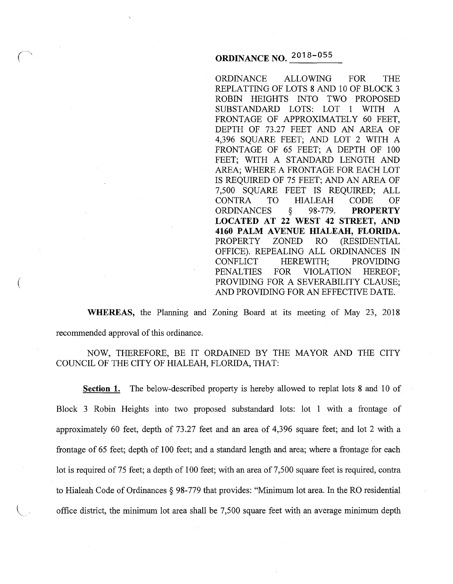# **ORDINANCE NO. 2018-055**

ORDINANCE ALLOWING FOR THE REPLATTING OF LOTS 8 AND 10 OF BLOCK 3 ROBIN HEIGHTS INTO TWO PROPOSED SUBSTANDARD LOTS: LOT 1 WITH A FRONTAGE OF APPROXIMATELY 60 FEET, DEPTH OF 73.27 FEET AND AN AREA OF 4,396 SQUARE FEET; AND LOT 2 WITH A FRONTAGE OF 65 FEET; A DEPTH OF 100 FEET; WITH A STANDARD LENGTH AND AREA; WHERE A FRONTAGE FOR EACH LOT IS REQUIRED OF 75 FEET; AND AN AREA OF 7,500 SQUARE FEET IS REQUIRED; ALL CONTRA TO HIALEAH CODE OF<br>ORDINANCES § 98-779. **PROPERTY** ORDINANCES § 98-779. **PROPERTY LOCATED AT 22 WEST 42 STREET, AND 4160 PALM AVENUE HIALEAH, FLORIDA.**  PROPERTY ZONED RO (RESIDENTIAL OFFICE). REPEALING ALL ORDINANCES IN CONFLICT HEREWITH; PROVIDING PENALTIES FOR VIOLATION HEREOF; PROVIDING FOR A SEVERABILITY CLAUSE; AND PROVIDING FOR AN EFFECTIVE DATE.

**WHEREAS,** the Planning and Zoning Board at its meeting of May 23, 2018 recommended approval of this ordinance.

(

NOW, THEREFORE, BE IT ORDAINED BY THE MAYOR AND THE CITY COUNCIL OF THE CITY OF HIALEAH, FLORIDA, THAT:

**Section 1.** The below-described property is hereby allowed to replat lots 8 and 10 of Block 3 Robin Heights into two proposed substandard lots: lot 1 with a frontage of approximately 60 feet, depth of 73.27 feet and an area of 4,396 square feet; and lot 2 with a frontage of 65 feet; depth of 100 feet; and a standard length and area; where a frontage for each lot is required of 75 feet; a depth of 100 feet; with an area of 7,500 square feet is required, contra to Hialeah Code of Ordinances § 98-779 that provides: "Minimum lot area. In the RO residential office district, the minimum lot area shall be 7,500 square feet with an average minimum depth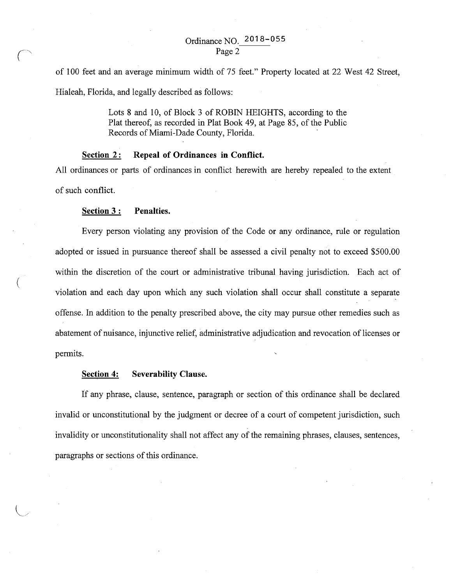of 100 feet and an average minimum width of 75 feet." Property located at 22 West 42 Street, Hialeah, Florida, and legally described as follows:

> Lots 8 and 10, of Block 3 of ROBIN HEIGHTS, according to the Plat thereof, as recorded in Plat Book 49, at Page 85, of the Public Records of Miami-Dade County, Florida.

# **Section 2:** Repeal of Ordinances in Conflict.

All ordinances or parts of ordinances in conflict herewith are hereby repealed to the extent of such conflict.

# **Section 3: Penalties.**

(

Every person violating any provision of the Code or any ordinance, rule or regulation adopted or issued in pursuance thereof shall be assessed a civil penalty not to exceed \$500.00 within the discretion of the court or administrative tribunal having jurisdiction. Each act of violation and each day upon which any such violation shall occur shall constitute a separate offense. In addition to the penalty prescribed above, the city may pursue other remedies such as abatement of nuisance, injunctive relief, administrative adjudication and revocation of licenses or permits.

# **Section 4: Severability Clause.**

If any phrase, clause, sentence, paragraph or section of this ordinance shall be declared invalid or unconstitutional by the judgment or decree of a court of competent jurisdiction, such invalidity or unconstitutionality shall not affect any of the remaining phrases, clauses, sentences, paragraphs or sections of this ordinance.